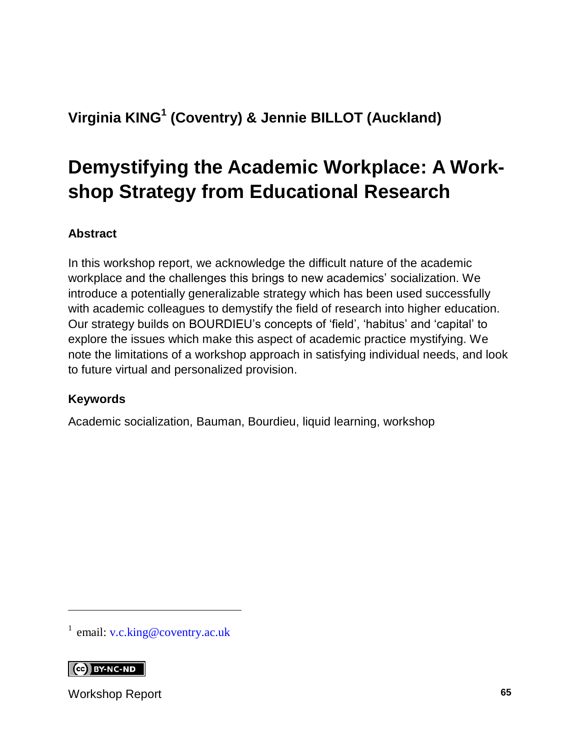### **Virginia KING<sup>1</sup> (Coventry) & Jennie BILLOT (Auckland)**

# **Demystifying the Academic Workplace: A Workshop Strategy from Educational Research**

#### **Abstract**

In this workshop report, we acknowledge the difficult nature of the academic workplace and the challenges this brings to new academics' socialization. We introduce a potentially generalizable strategy which has been used successfully with academic colleagues to demystify the field of research into higher education. Our strategy builds on BOURDIEU's concepts of 'field', 'habitus' and 'capital' to explore the issues which make this aspect of academic practice mystifying. We note the limitations of a workshop approach in satisfying individual needs, and look to future virtual and personalized provision.

#### **Keywords**

Academic socialization, Bauman, Bourdieu, liquid learning, workshop

<sup>1</sup> email: [v.c.king@coventry.ac.uk](mailto:v.c.king@coventry.ac.uk)

#### **CO** BY-NC-ND

l

Workshop Report **65**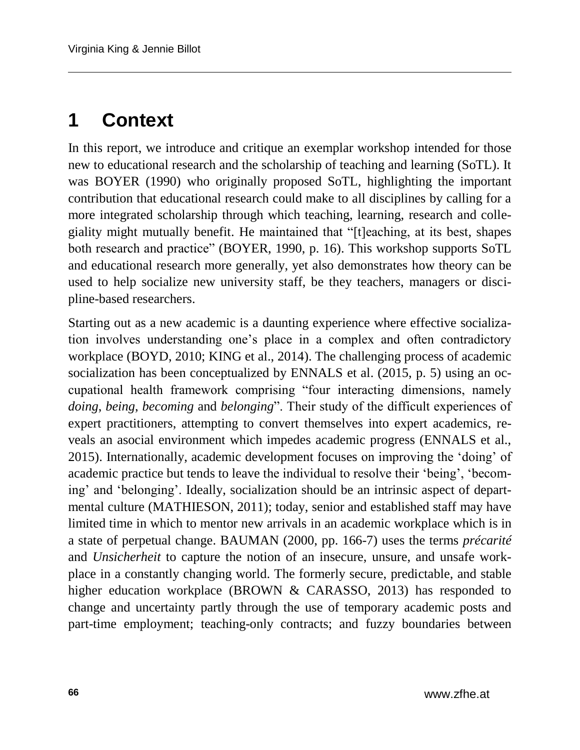## **1 Context**

In this report, we introduce and critique an exemplar workshop intended for those new to educational research and the scholarship of teaching and learning (SoTL). It was BOYER (1990) who originally proposed SoTL, highlighting the important contribution that educational research could make to all disciplines by calling for a more integrated scholarship through which teaching, learning, research and collegiality might mutually benefit. He maintained that "[t]eaching, at its best, shapes both research and practice" (BOYER, 1990, p. 16). This workshop supports SoTL and educational research more generally, yet also demonstrates how theory can be used to help socialize new university staff, be they teachers, managers or discipline-based researchers.

Starting out as a new academic is a daunting experience where effective socialization involves understanding one's place in a complex and often contradictory workplace (BOYD, 2010; KING et al., 2014). The challenging process of academic socialization has been conceptualized by ENNALS et al. (2015, p. 5) using an occupational health framework comprising "four interacting dimensions, namely *doing*, *being*, *becoming* and *belonging*". Their study of the difficult experiences of expert practitioners, attempting to convert themselves into expert academics, reveals an asocial environment which impedes academic progress (ENNALS et al., 2015). Internationally, academic development focuses on improving the 'doing' of academic practice but tends to leave the individual to resolve their 'being', 'becoming' and 'belonging'. Ideally, socialization should be an intrinsic aspect of departmental culture (MATHIESON, 2011); today, senior and established staff may have limited time in which to mentor new arrivals in an academic workplace which is in a state of perpetual change. BAUMAN (2000, pp. 166-7) uses the terms *précarité* and *Unsicherheit* to capture the notion of an insecure, unsure, and unsafe workplace in a constantly changing world. The formerly secure, predictable, and stable higher education workplace (BROWN & CARASSO, 2013) has responded to change and uncertainty partly through the use of temporary academic posts and part-time employment; teaching-only contracts; and fuzzy boundaries between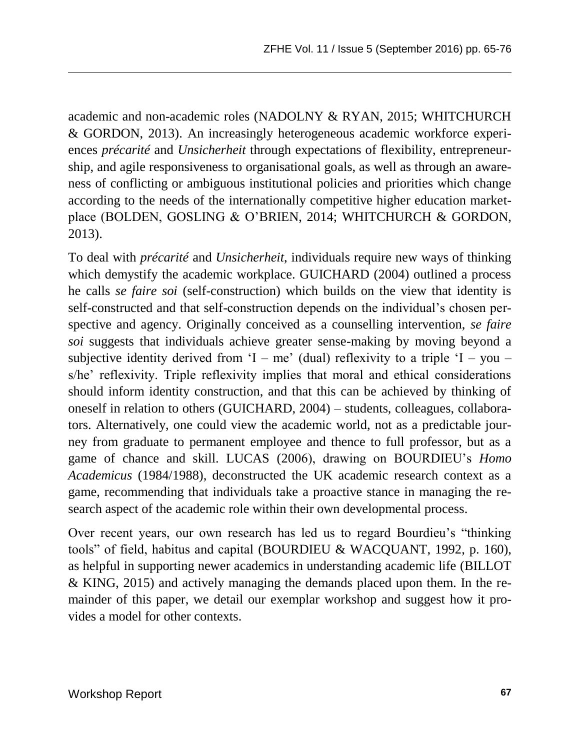academic and non-academic roles (NADOLNY & RYAN, 2015; WHITCHURCH & GORDON, 2013). An increasingly heterogeneous academic workforce experiences *précarité* and *Unsicherheit* through expectations of flexibility, entrepreneurship, and agile responsiveness to organisational goals, as well as through an awareness of conflicting or ambiguous institutional policies and priorities which change according to the needs of the internationally competitive higher education marketplace (BOLDEN, GOSLING & O'BRIEN, 2014; WHITCHURCH & GORDON, 2013).

To deal with *précarité* and *Unsicherheit*, individuals require new ways of thinking which demystify the academic workplace. GUICHARD (2004) outlined a process he calls *se faire soi* (self-construction) which builds on the view that identity is self-constructed and that self-construction depends on the individual's chosen perspective and agency. Originally conceived as a counselling intervention, *se faire soi* suggests that individuals achieve greater sense-making by moving beyond a subjective identity derived from 'I – me' (dual) reflexivity to a triple 'I – you – s/he' reflexivity. Triple reflexivity implies that moral and ethical considerations should inform identity construction, and that this can be achieved by thinking of oneself in relation to others (GUICHARD, 2004) – students, colleagues, collaborators. Alternatively, one could view the academic world, not as a predictable journey from graduate to permanent employee and thence to full professor, but as a game of chance and skill. LUCAS (2006), drawing on BOURDIEU's *Homo Academicus* (1984/1988), deconstructed the UK academic research context as a game, recommending that individuals take a proactive stance in managing the research aspect of the academic role within their own developmental process.

Over recent years, our own research has led us to regard Bourdieu's "thinking tools" of field, habitus and capital (BOURDIEU & WACQUANT, 1992, p. 160), as helpful in supporting newer academics in understanding academic life (BILLOT & KING, 2015) and actively managing the demands placed upon them. In the remainder of this paper, we detail our exemplar workshop and suggest how it provides a model for other contexts.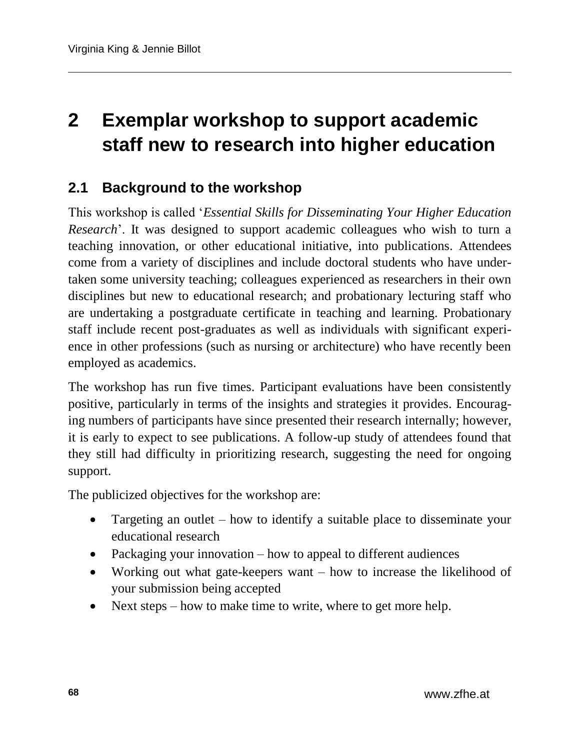# **2 Exemplar workshop to support academic staff new to research into higher education**

#### **2.1 Background to the workshop**

This workshop is called '*Essential Skills for Disseminating Your Higher Education Research*'. It was designed to support academic colleagues who wish to turn a teaching innovation, or other educational initiative, into publications. Attendees come from a variety of disciplines and include doctoral students who have undertaken some university teaching; colleagues experienced as researchers in their own disciplines but new to educational research; and probationary lecturing staff who are undertaking a postgraduate certificate in teaching and learning. Probationary staff include recent post-graduates as well as individuals with significant experience in other professions (such as nursing or architecture) who have recently been employed as academics.

The workshop has run five times. Participant evaluations have been consistently positive, particularly in terms of the insights and strategies it provides. Encouraging numbers of participants have since presented their research internally; however, it is early to expect to see publications. A follow-up study of attendees found that they still had difficulty in prioritizing research, suggesting the need for ongoing support.

The publicized objectives for the workshop are:

- Targeting an outlet how to identify a suitable place to disseminate your educational research
- Packaging your innovation how to appeal to different audiences
- Working out what gate-keepers want how to increase the likelihood of your submission being accepted
- Next steps how to make time to write, where to get more help.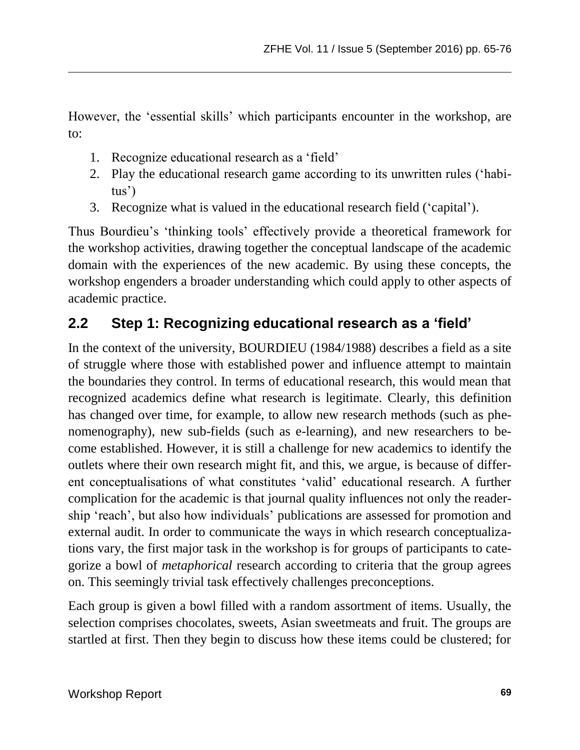However, the 'essential skills' which participants encounter in the workshop, are to:

- 1. Recognize educational research as a 'field'
- 2. Play the educational research game according to its unwritten rules ('habitus')
- 3. Recognize what is valued in the educational research field ('capital').

Thus Bourdieu's 'thinking tools' effectively provide a theoretical framework for the workshop activities, drawing together the conceptual landscape of the academic domain with the experiences of the new academic. By using these concepts, the workshop engenders a broader understanding which could apply to other aspects of academic practice.

### **2.2 Step 1: Recognizing educational research as a 'field'**

In the context of the university, BOURDIEU (1984/1988) describes a field as a site of struggle where those with established power and influence attempt to maintain the boundaries they control. In terms of educational research, this would mean that recognized academics define what research is legitimate. Clearly, this definition has changed over time, for example, to allow new research methods (such as phenomenography), new sub-fields (such as e-learning), and new researchers to become established. However, it is still a challenge for new academics to identify the outlets where their own research might fit, and this, we argue, is because of different conceptualisations of what constitutes 'valid' educational research. A further complication for the academic is that journal quality influences not only the readership 'reach', but also how individuals' publications are assessed for promotion and external audit. In order to communicate the ways in which research conceptualizations vary, the first major task in the workshop is for groups of participants to categorize a bowl of *metaphorical* research according to criteria that the group agrees on. This seemingly trivial task effectively challenges preconceptions.

Each group is given a bowl filled with a random assortment of items. Usually, the selection comprises chocolates, sweets, Asian sweetmeats and fruit. The groups are startled at first. Then they begin to discuss how these items could be clustered; for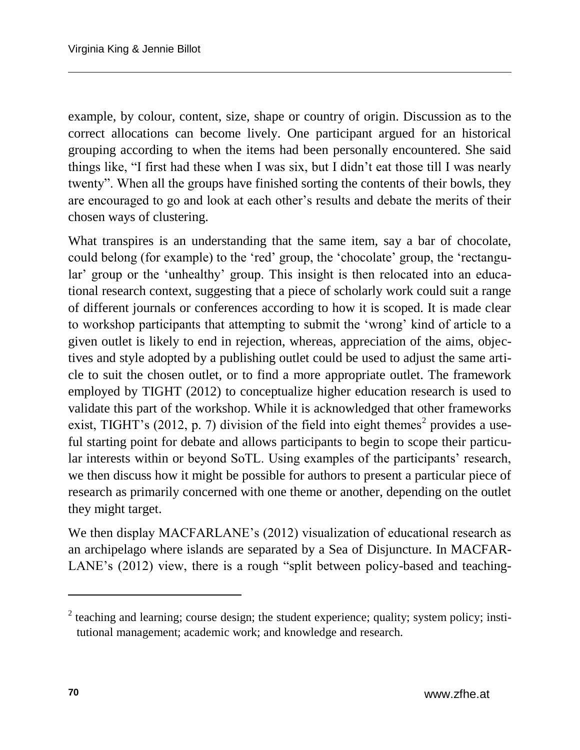example, by colour, content, size, shape or country of origin. Discussion as to the correct allocations can become lively. One participant argued for an historical grouping according to when the items had been personally encountered. She said things like, "I first had these when I was six, but I didn't eat those till I was nearly twenty". When all the groups have finished sorting the contents of their bowls, they are encouraged to go and look at each other's results and debate the merits of their chosen ways of clustering.

What transpires is an understanding that the same item, say a bar of chocolate, could belong (for example) to the 'red' group, the 'chocolate' group, the 'rectangular' group or the 'unhealthy' group. This insight is then relocated into an educational research context, suggesting that a piece of scholarly work could suit a range of different journals or conferences according to how it is scoped. It is made clear to workshop participants that attempting to submit the 'wrong' kind of article to a given outlet is likely to end in rejection, whereas, appreciation of the aims, objectives and style adopted by a publishing outlet could be used to adjust the same article to suit the chosen outlet, or to find a more appropriate outlet. The framework employed by TIGHT (2012) to conceptualize higher education research is used to validate this part of the workshop. While it is acknowledged that other frameworks exist, TIGHT's (2012, p. 7) division of the field into eight themes<sup>2</sup> provides a useful starting point for debate and allows participants to begin to scope their particular interests within or beyond SoTL. Using examples of the participants' research, we then discuss how it might be possible for authors to present a particular piece of research as primarily concerned with one theme or another, depending on the outlet they might target.

We then display MACFARLANE's (2012) visualization of educational research as an archipelago where islands are separated by a Sea of Disjuncture. In MACFAR-LANE's (2012) view, there is a rough "split between policy-based and teaching-

 $\overline{a}$ 

 $2$  teaching and learning; course design; the student experience; quality; system policy; institutional management; academic work; and knowledge and research.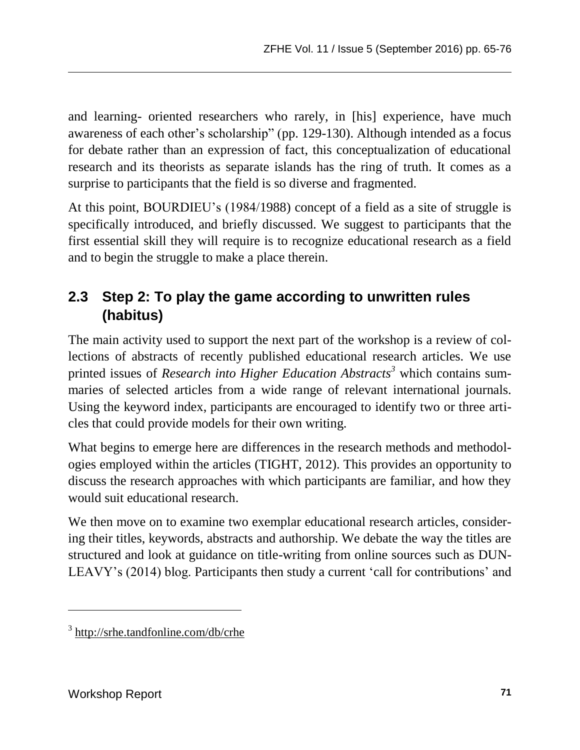and learning- oriented researchers who rarely, in [his] experience, have much awareness of each other's scholarship" (pp. 129-130). Although intended as a focus for debate rather than an expression of fact, this conceptualization of educational research and its theorists as separate islands has the ring of truth. It comes as a surprise to participants that the field is so diverse and fragmented.

At this point, BOURDIEU's (1984/1988) concept of a field as a site of struggle is specifically introduced, and briefly discussed. We suggest to participants that the first essential skill they will require is to recognize educational research as a field and to begin the struggle to make a place therein.

### **2.3 Step 2: To play the game according to unwritten rules (habitus)**

The main activity used to support the next part of the workshop is a review of collections of abstracts of recently published educational research articles. We use printed issues of *Research into Higher Education Abstracts<sup>3</sup>* which contains summaries of selected articles from a wide range of relevant international journals. Using the keyword index, participants are encouraged to identify two or three articles that could provide models for their own writing.

What begins to emerge here are differences in the research methods and methodologies employed within the articles (TIGHT, 2012). This provides an opportunity to discuss the research approaches with which participants are familiar, and how they would suit educational research.

We then move on to examine two exemplar educational research articles, considering their titles, keywords, abstracts and authorship. We debate the way the titles are structured and look at guidance on title-writing from online sources such as DUN-LEAVY's (2014) blog. Participants then study a current 'call for contributions' and

l

<sup>&</sup>lt;sup>3</sup> <http://srhe.tandfonline.com/db/crhe>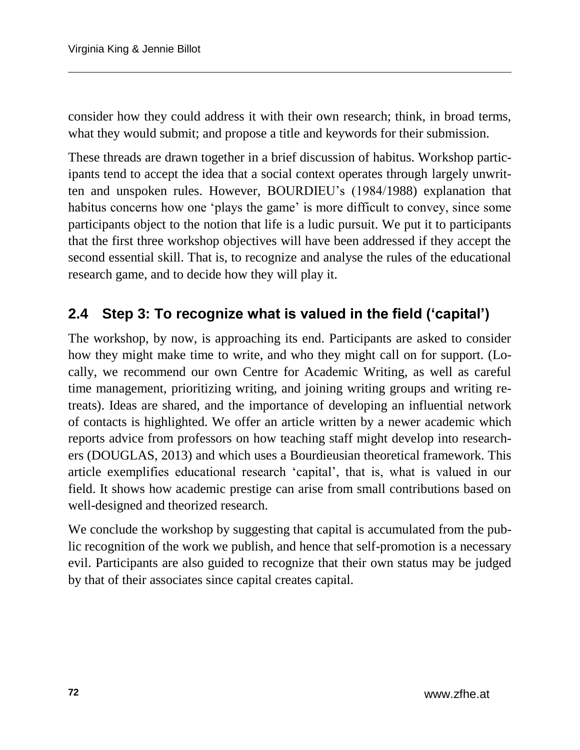consider how they could address it with their own research; think, in broad terms, what they would submit; and propose a title and keywords for their submission.

These threads are drawn together in a brief discussion of habitus. Workshop participants tend to accept the idea that a social context operates through largely unwritten and unspoken rules. However, BOURDIEU's (1984/1988) explanation that habitus concerns how one 'plays the game' is more difficult to convey, since some participants object to the notion that life is a ludic pursuit. We put it to participants that the first three workshop objectives will have been addressed if they accept the second essential skill. That is, to recognize and analyse the rules of the educational research game, and to decide how they will play it.

#### **2.4 Step 3: To recognize what is valued in the field ('capital')**

The workshop, by now, is approaching its end. Participants are asked to consider how they might make time to write, and who they might call on for support. (Locally, we recommend our own Centre for Academic Writing, as well as careful time management, prioritizing writing, and joining writing groups and writing retreats). Ideas are shared, and the importance of developing an influential network of contacts is highlighted. We offer an article written by a newer academic which reports advice from professors on how teaching staff might develop into researchers (DOUGLAS, 2013) and which uses a Bourdieusian theoretical framework. This article exemplifies educational research 'capital', that is, what is valued in our field. It shows how academic prestige can arise from small contributions based on well-designed and theorized research.

We conclude the workshop by suggesting that capital is accumulated from the public recognition of the work we publish, and hence that self-promotion is a necessary evil. Participants are also guided to recognize that their own status may be judged by that of their associates since capital creates capital.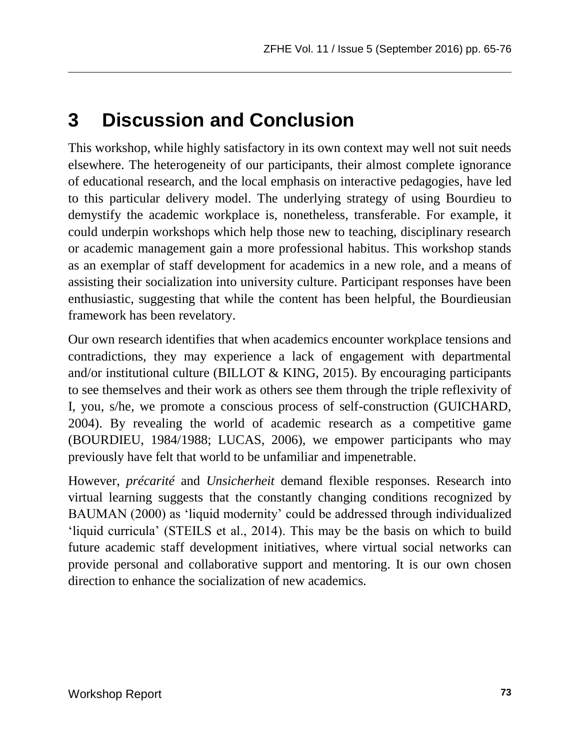# **3 Discussion and Conclusion**

This workshop, while highly satisfactory in its own context may well not suit needs elsewhere. The heterogeneity of our participants, their almost complete ignorance of educational research, and the local emphasis on interactive pedagogies, have led to this particular delivery model. The underlying strategy of using Bourdieu to demystify the academic workplace is, nonetheless, transferable. For example, it could underpin workshops which help those new to teaching, disciplinary research or academic management gain a more professional habitus. This workshop stands as an exemplar of staff development for academics in a new role, and a means of assisting their socialization into university culture. Participant responses have been enthusiastic, suggesting that while the content has been helpful, the Bourdieusian framework has been revelatory.

Our own research identifies that when academics encounter workplace tensions and contradictions, they may experience a lack of engagement with departmental and/or institutional culture (BILLOT & KING, 2015). By encouraging participants to see themselves and their work as others see them through the triple reflexivity of I, you, s/he, we promote a conscious process of self-construction (GUICHARD, 2004). By revealing the world of academic research as a competitive game (BOURDIEU, 1984/1988; LUCAS, 2006), we empower participants who may previously have felt that world to be unfamiliar and impenetrable.

However, *précarité* and *Unsicherheit* demand flexible responses. Research into virtual learning suggests that the constantly changing conditions recognized by BAUMAN (2000) as 'liquid modernity' could be addressed through individualized 'liquid curricula' (STEILS et al., 2014). This may be the basis on which to build future academic staff development initiatives, where virtual social networks can provide personal and collaborative support and mentoring. It is our own chosen direction to enhance the socialization of new academics.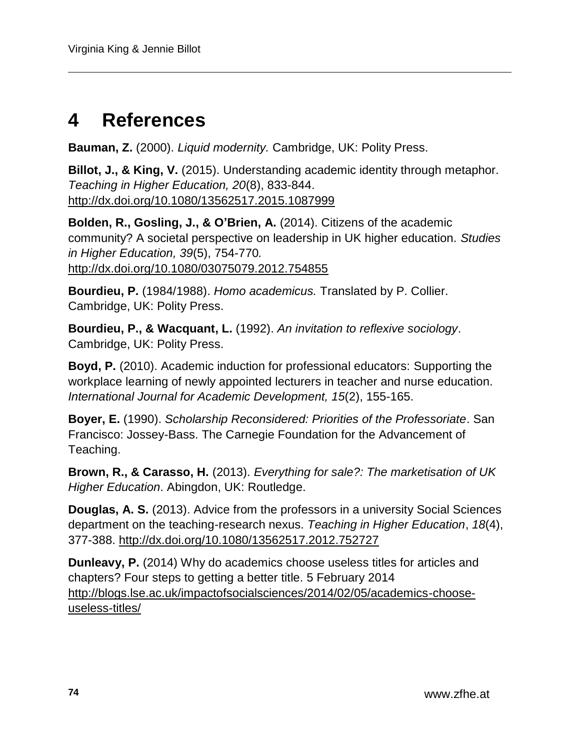## **4 References**

**Bauman, Z.** (2000). *Liquid modernity.* Cambridge, UK: Polity Press.

**Billot, J., & King, V.** (2015). Understanding academic identity through metaphor. *Teaching in Higher Education, 20*(8), 833-844. <http://dx.doi.org/10.1080/13562517.2015.1087999>

**Bolden, R., Gosling, J., & O'Brien, A.** (2014). Citizens of the academic community? A societal perspective on leadership in UK higher education. *Studies in Higher Education, 39*(5), 754-770*.* <http://dx.doi.org/10.1080/03075079.2012.754855>

**Bourdieu, P.** (1984/1988). *Homo academicus.* Translated by P. Collier. Cambridge, UK: Polity Press.

**Bourdieu, P., & Wacquant, L.** (1992). *An invitation to reflexive sociology*. Cambridge, UK: Polity Press.

**Boyd, P.** (2010). Academic induction for professional educators: Supporting the workplace learning of newly appointed lecturers in teacher and nurse education. *International Journal for Academic Development, 15*(2), 155-165.

**Boyer, E.** (1990). *Scholarship Reconsidered: Priorities of the Professoriate*. San Francisco: Jossey-Bass. The Carnegie Foundation for the Advancement of Teaching.

**Brown, R., & Carasso, H.** (2013). *Everything for sale?: The marketisation of UK Higher Education*. Abingdon, UK: Routledge.

**Douglas, A. S.** (2013). Advice from the professors in a university Social Sciences department on the teaching-research nexus. *Teaching in Higher Education*, *18*(4), 377-388.<http://dx.doi.org/10.1080/13562517.2012.752727>

**Dunleavy, P.** (2014) Why do academics choose useless titles for articles and chapters? Four steps to getting a better title. 5 February 2014 [http://blogs.lse.ac.uk/impactofsocialsciences/2014/02/05/academics-choose](http://blogs.lse.ac.uk/impactofsocialsciences/2014/02/05/academics-choose-useless-titles/)[useless-titles/](http://blogs.lse.ac.uk/impactofsocialsciences/2014/02/05/academics-choose-useless-titles/)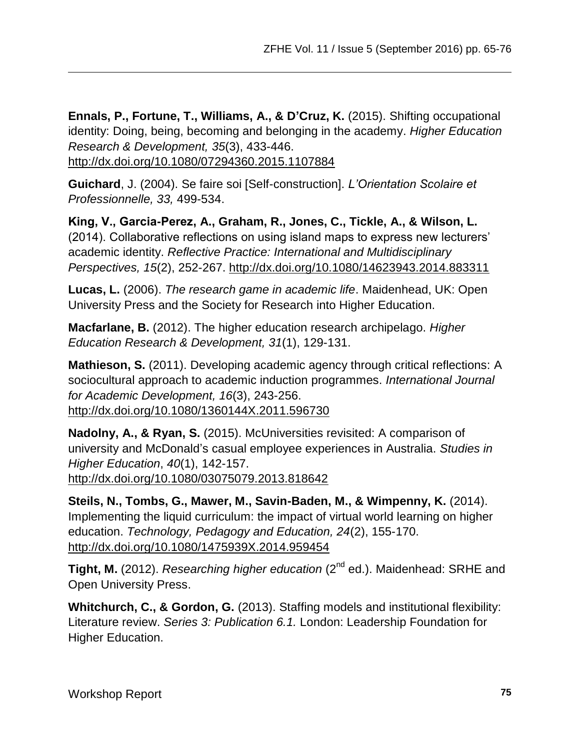**Ennals, P., Fortune, T., Williams, A., & D'Cruz, K.** (2015). Shifting occupational identity: Doing, being, becoming and belonging in the academy. *Higher Education Research & Development, 35*(3), 433-446.

<http://dx.doi.org/10.1080/07294360.2015.1107884>

**Guichard**, J. (2004). Se faire soi [Self-construction]. *L'Orientation Scolaire et Professionnelle, 33,* 499-534.

**King, V., Garcia-Perez, A., Graham, R., Jones, C., Tickle, A., & Wilson, L.** (2014). Collaborative reflections on using island maps to express new lecturers' academic identity. *Reflective Practice: International and Multidisciplinary Perspectives, 15*(2), 252-267.<http://dx.doi.org/10.1080/14623943.2014.883311>

**Lucas, L.** (2006). *The research game in academic life*. Maidenhead, UK: Open University Press and the Society for Research into Higher Education.

**Macfarlane, B.** (2012). The higher education research archipelago. *Higher Education Research & Development, 31*(1), 129-131.

**Mathieson, S.** (2011). Developing academic agency through critical reflections: A sociocultural approach to academic induction programmes. *International Journal for Academic Development, 16*(3), 243-256. <http://dx.doi.org/10.1080/1360144X.2011.596730>

**Nadolny, A., & Ryan, S.** (2015). McUniversities revisited: A comparison of university and McDonald's casual employee experiences in Australia. *Studies in Higher Education*, *40*(1), 142-157. <http://dx.doi.org/10.1080/03075079.2013.818642>

**Steils, N., Tombs, G., Mawer, M., Savin-Baden, M., & Wimpenny, K.** (2014). Implementing the liquid curriculum: the impact of virtual world learning on higher education. *Technology, Pedagogy and Education, 24*(2), 155-170. <http://dx.doi.org/10.1080/1475939X.2014.959454>

Tight, M. (2012). *Researching higher education* (2<sup>nd</sup> ed.). Maidenhead: SRHE and Open University Press.

**Whitchurch, C., & Gordon, G.** (2013). Staffing models and institutional flexibility: Literature review. *Series 3: Publication 6.1.* London: Leadership Foundation for Higher Education.